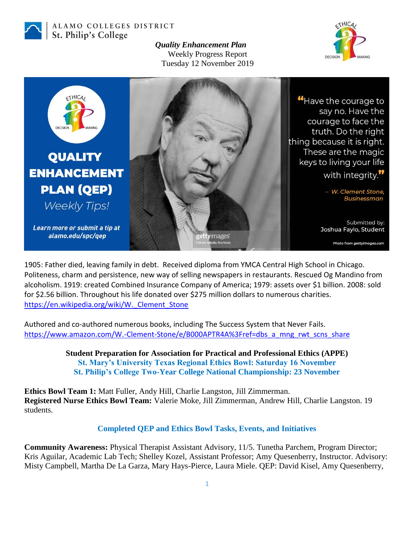

ALAMO COLLEGES DISTRICT St. Philip's College

> *Quality Enhancement Plan* Weekly Progress Report Tuesday 12 November 2019





1905: Father died, leaving family in debt. Received diploma from YMCA Central High School in Chicago. Politeness, charm and persistence, new way of selling newspapers in restaurants. Rescued Og Mandino from alcoholism. 1919: created Combined Insurance Company of America; 1979: assets over \$1 billion. 2008: sold for \$2.56 billion. Throughout his life donated over \$275 million dollars to numerous charities. [https://en.wikipedia.org/wiki/W.\\_Clement\\_Stone](https://en.wikipedia.org/wiki/W._Clement_Stone)

Authored and co-authored numerous books, including The Success System that Never Fails. [https://www.amazon.com/W.-Clement-Stone/e/B000APTR4A%3Fref=dbs\\_a\\_mng\\_rwt\\_scns\\_share](https://www.amazon.com/W.-Clement-Stone/e/B000APTR4A%3Fref=dbs_a_mng_rwt_scns_share)

> **Student Preparation for Association for Practical and Professional Ethics (APPE) St. Mary's University Texas Regional Ethics Bowl: Saturday 16 November St. Philip's College Two-Year College National Championship: 23 November**

**Ethics Bowl Team 1:** Matt Fuller, Andy Hill, Charlie Langston, Jill Zimmerman. **Registered Nurse Ethics Bowl Team:** Valerie Moke, Jill Zimmerman, Andrew Hill, Charlie Langston. 19 students.

## **Completed QEP and Ethics Bowl Tasks, Events, and Initiatives**

**Community Awareness:** Physical Therapist Assistant Advisory, 11/5. Tunetha Parchem, Program Director; Kris Aguilar, Academic Lab Tech; Shelley Kozel, Assistant Professor; Amy Quesenberry, Instructor. Advisory: Misty Campbell, Martha De La Garza, Mary Hays-Pierce, Laura Miele. QEP: David Kisel, Amy Quesenberry,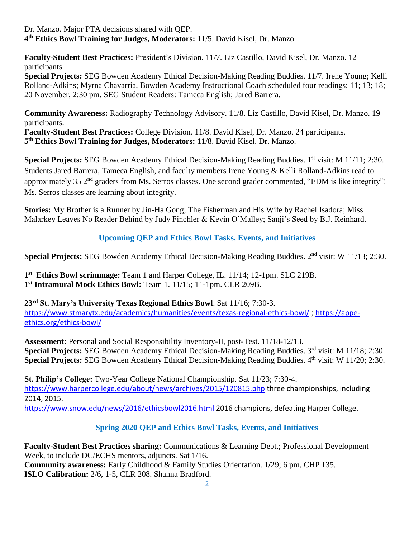Dr. Manzo. Major PTA decisions shared with QEP. **4 th Ethics Bowl Training for Judges, Moderators:** 11/5. David Kisel, Dr. Manzo.

**Faculty-Student Best Practices:** President's Division. 11/7. Liz Castillo, David Kisel, Dr. Manzo. 12 participants.

**Special Projects:** SEG Bowden Academy Ethical Decision-Making Reading Buddies. 11/7. Irene Young; Kelli Rolland-Adkins; Myrna Chavarria, Bowden Academy Instructional Coach scheduled four readings: 11; 13; 18; 20 November, 2:30 pm. SEG Student Readers: Tameca English; Jared Barrera.

**Community Awareness:** Radiography Technology Advisory. 11/8. Liz Castillo, David Kisel, Dr. Manzo. 19 participants.

**Faculty-Student Best Practices:** College Division. 11/8. David Kisel, Dr. Manzo. 24 participants. **5 th Ethics Bowl Training for Judges, Moderators:** 11/8. David Kisel, Dr. Manzo.

Special Projects: SEG Bowden Academy Ethical Decision-Making Reading Buddies. 1st visit: M 11/11; 2:30. Students Jared Barrera, Tameca English, and faculty members Irene Young & Kelli Rolland-Adkins read to approximately 35 2<sup>nd</sup> graders from Ms. Serros classes. One second grader commented, "EDM is like integrity"! Ms. Serros classes are learning about integrity.

**Stories:** My Brother is a Runner by Jin-Ha Gong; The Fisherman and His Wife by Rachel Isadora; Miss Malarkey Leaves No Reader Behind by Judy Finchler & Kevin O'Malley; Sanji's Seed by B.J. Reinhard.

## **Upcoming QEP and Ethics Bowl Tasks, Events, and Initiatives**

Special Projects: SEG Bowden Academy Ethical Decision-Making Reading Buddies. 2<sup>nd</sup> visit: W 11/13; 2:30.

**1 st Ethics Bowl scrimmage:** Team 1 and Harper College, IL. 11/14; 12-1pm. SLC 219B. **1 st Intramural Mock Ethics Bowl:** Team 1. 11/15; 11-1pm. CLR 209B.

**23rd St. Mary's University Texas Regional Ethics Bowl**. Sat 11/16; 7:30-3. <https://www.stmarytx.edu/academics/humanities/events/texas-regional-ethics-bowl/> ; [https://appe](https://appe-ethics.org/ethics-bowl/)[ethics.org/ethics-bowl/](https://appe-ethics.org/ethics-bowl/)

**Assessment:** Personal and Social Responsibility Inventory-II, post-Test. 11/18-12/13. **Special Projects: SEG Bowden Academy Ethical Decision-Making Reading Buddies. 3<sup>rd</sup> visit: M 11/18; 2:30.** Special Projects: SEG Bowden Academy Ethical Decision-Making Reading Buddies. 4<sup>th</sup> visit: W 11/20; 2:30.

**St. Philip's College:** Two-Year College National Championship. Sat 11/23; 7:30-4. <https://www.harpercollege.edu/about/news/archives/2015/120815.php> three championships, including 2014, 2015. <https://www.snow.edu/news/2016/ethicsbowl2016.html> 2016 champions, defeating Harper College.

## **Spring 2020 QEP and Ethics Bowl Tasks, Events, and Initiatives**

**Faculty-Student Best Practices sharing:** Communications & Learning Dept.; Professional Development Week, to include DC/ECHS mentors, adjuncts. Sat 1/16. **Community awareness:** Early Childhood & Family Studies Orientation. 1**/**29; 6 pm, CHP 135. **ISLO Calibration:** 2/6, 1-5, CLR 208. Shanna Bradford.